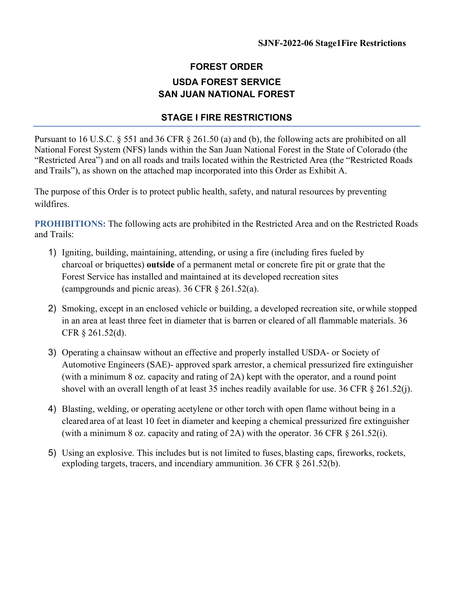## **FOREST ORDER USDA FOREST SERVICE SAN JUAN NATIONAL FOREST**

## **STAGE I FIRE RESTRICTIONS**

Pursuant to 16 U.S.C. § 551 and 36 CFR § 261.50 (a) and (b), the following acts are prohibited on all National Forest System (NFS) lands within the San Juan National Forest in the State of Colorado (the "Restricted Area") and on all roads and trails located within the Restricted Area (the "Restricted Roads and Trails"), as shown on the attached map incorporated into this Order as Exhibit A.

The purpose of this Order is to protect public health, safety, and natural resources by preventing wildfires.

**PROHIBITIONS:** The following acts are prohibited in the Restricted Area and on the Restricted Roads and Trails:

- 1) Igniting, building, maintaining, attending, or using a fire (including fires fueled by charcoal or briquettes) **outside** of a permanent metal or concrete fire pit or grate that the Forest Service has installed and maintained at its developed recreation sites (campgrounds and picnic areas). 36 CFR § 261.52(a).
- 2) Smoking, except in an enclosed vehicle or building, a developed recreation site, orwhile stopped in an area at least three feet in diameter that is barren or cleared of all flammable materials. 36 CFR § 261.52(d).
- 3) Operating a chainsaw without an effective and properly installed USDA- or Society of Automotive Engineers (SAE)- approved spark arrestor, a chemical pressurized fire extinguisher (with a minimum 8 oz. capacity and rating of 2A) kept with the operator, and a round point shovel with an overall length of at least 35 inches readily available for use. 36 CFR § 261.52(j).
- 4) Blasting, welding, or operating acetylene or other torch with open flame without being in a cleared area of at least 10 feet in diameter and keeping a chemical pressurized fire extinguisher (with a minimum 8 oz. capacity and rating of 2A) with the operator. 36 CFR § 261.52(i).
- 5) Using an explosive. This includes but is not limited to fuses, blasting caps, fireworks, rockets, exploding targets, tracers, and incendiary ammunition. 36 CFR § 261.52(b).